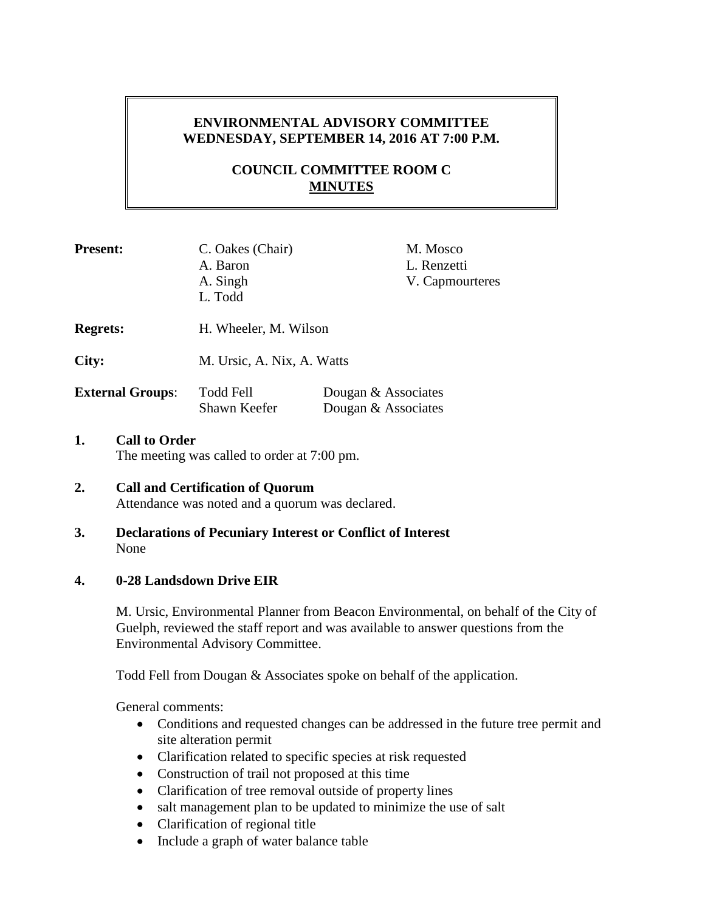# **ENVIRONMENTAL ADVISORY COMMITTEE WEDNESDAY, SEPTEMBER 14, 2016 AT 7:00 P.M.**

# **COUNCIL COMMITTEE ROOM C MINUTES**

| <b>Present:</b>            | C. Oakes (Chair)<br>A. Baron<br>A. Singh<br>L. Todd | M. Mosco<br>L. Renzetti<br>V. Capmourteres |
|----------------------------|-----------------------------------------------------|--------------------------------------------|
| <b>Regrets:</b>            | H. Wheeler, M. Wilson                               |                                            |
| City:                      | M. Ursic, A. Nix, A. Watts                          |                                            |
| <b>External Groups:</b>    | <b>Todd Fell</b><br>Shawn Keefer                    | Dougan & Associates<br>Dougan & Associates |
| <b>Call to Order</b><br>1. |                                                     |                                            |

# The meeting was called to order at 7:00 pm.

### **2. Call and Certification of Quorum** Attendance was noted and a quorum was declared.

**3. Declarations of Pecuniary Interest or Conflict of Interest** None

## **4. 0-28 Landsdown Drive EIR**

M. Ursic, Environmental Planner from Beacon Environmental, on behalf of the City of Guelph, reviewed the staff report and was available to answer questions from the Environmental Advisory Committee.

Todd Fell from Dougan & Associates spoke on behalf of the application.

General comments:

- Conditions and requested changes can be addressed in the future tree permit and site alteration permit
- Clarification related to specific species at risk requested
- Construction of trail not proposed at this time
- Clarification of tree removal outside of property lines
- salt management plan to be updated to minimize the use of salt
- Clarification of regional title
- Include a graph of water balance table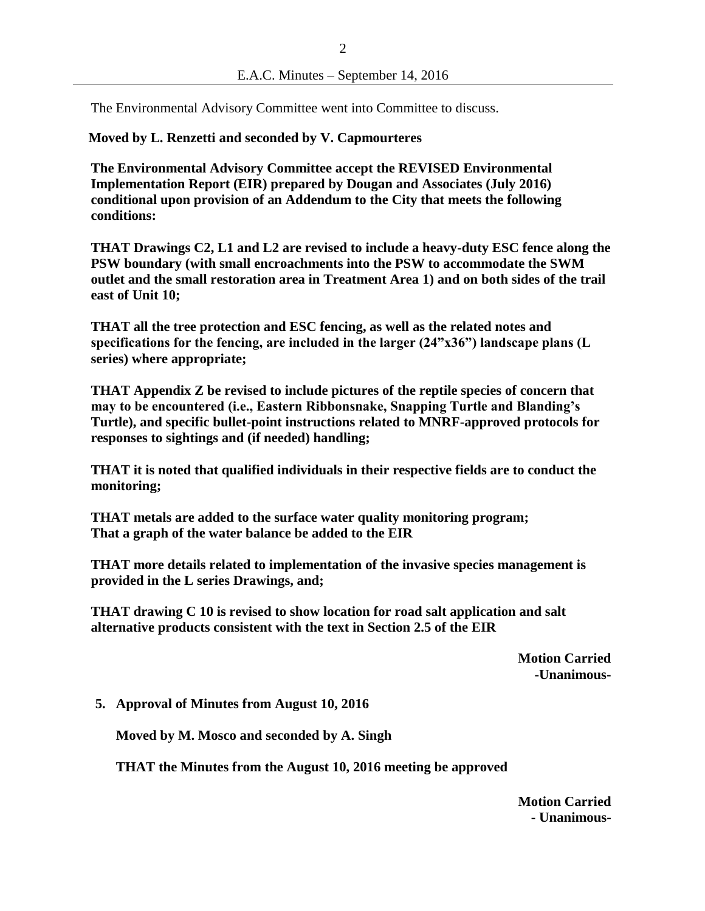The Environmental Advisory Committee went into Committee to discuss.

 **Moved by L. Renzetti and seconded by V. Capmourteres**

**The Environmental Advisory Committee accept the REVISED Environmental Implementation Report (EIR) prepared by Dougan and Associates (July 2016) conditional upon provision of an Addendum to the City that meets the following conditions:** 

**THAT Drawings C2, L1 and L2 are revised to include a heavy-duty ESC fence along the PSW boundary (with small encroachments into the PSW to accommodate the SWM outlet and the small restoration area in Treatment Area 1) and on both sides of the trail east of Unit 10;** 

**THAT all the tree protection and ESC fencing, as well as the related notes and specifications for the fencing, are included in the larger (24"x36") landscape plans (L series) where appropriate;** 

**THAT Appendix Z be revised to include pictures of the reptile species of concern that may to be encountered (i.e., Eastern Ribbonsnake, Snapping Turtle and Blanding's Turtle), and specific bullet-point instructions related to MNRF-approved protocols for responses to sightings and (if needed) handling;** 

**THAT it is noted that qualified individuals in their respective fields are to conduct the monitoring;** 

**THAT metals are added to the surface water quality monitoring program; That a graph of the water balance be added to the EIR**

**THAT more details related to implementation of the invasive species management is provided in the L series Drawings, and;** 

**THAT drawing C 10 is revised to show location for road salt application and salt alternative products consistent with the text in Section 2.5 of the EIR**

> **Motion Carried -Unanimous-**

**5. Approval of Minutes from August 10, 2016**

**Moved by M. Mosco and seconded by A. Singh**

**THAT the Minutes from the August 10, 2016 meeting be approved**

**Motion Carried - Unanimous-**